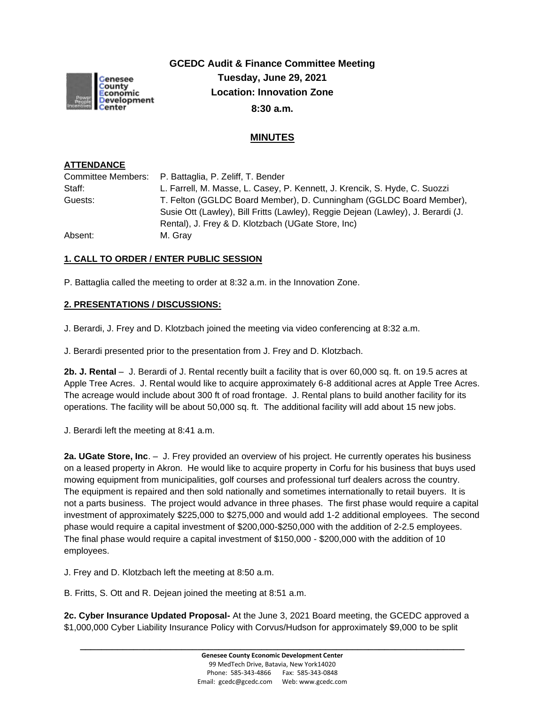

**GCEDC Audit & Finance Committee Meeting Tuesday, June 29, 2021 Location: Innovation Zone 8:30 a.m.**

## **MINUTES**

## **ATTENDANCE**

|         | Committee Members: P. Battaglia, P. Zeliff, T. Bender                            |
|---------|----------------------------------------------------------------------------------|
| Staff:  | L. Farrell, M. Masse, L. Casey, P. Kennett, J. Krencik, S. Hyde, C. Suozzi       |
| Guests: | T. Felton (GGLDC Board Member), D. Cunningham (GGLDC Board Member),              |
|         | Susie Ott (Lawley), Bill Fritts (Lawley), Reggie Dejean (Lawley), J. Berardi (J. |
|         | Rental), J. Frey & D. Klotzbach (UGate Store, Inc)                               |
| Absent: | M. Grav                                                                          |

## **1. CALL TO ORDER / ENTER PUBLIC SESSION**

P. Battaglia called the meeting to order at 8:32 a.m. in the Innovation Zone.

## **2. PRESENTATIONS / DISCUSSIONS:**

J. Berardi, J. Frey and D. Klotzbach joined the meeting via video conferencing at 8:32 a.m.

J. Berardi presented prior to the presentation from J. Frey and D. Klotzbach.

**2b. J. Rental** – J. Berardi of J. Rental recently built a facility that is over 60,000 sq. ft. on 19.5 acres at Apple Tree Acres. J. Rental would like to acquire approximately 6-8 additional acres at Apple Tree Acres. The acreage would include about 300 ft of road frontage. J. Rental plans to build another facility for its operations. The facility will be about 50,000 sq. ft. The additional facility will add about 15 new jobs.

J. Berardi left the meeting at 8:41 a.m.

**2a. UGate Store, Inc**. – J. Frey provided an overview of his project. He currently operates his business on a leased property in Akron. He would like to acquire property in Corfu for his business that buys used mowing equipment from municipalities, golf courses and professional turf dealers across the country. The equipment is repaired and then sold nationally and sometimes internationally to retail buyers. It is not a parts business. The project would advance in three phases. The first phase would require a capital investment of approximately \$225,000 to \$275,000 and would add 1-2 additional employees. The second phase would require a capital investment of \$200,000-\$250,000 with the addition of 2-2.5 employees. The final phase would require a capital investment of \$150,000 - \$200,000 with the addition of 10 employees.

J. Frey and D. Klotzbach left the meeting at 8:50 a.m.

B. Fritts, S. Ott and R. Dejean joined the meeting at 8:51 a.m.

**2c. Cyber Insurance Updated Proposal-** At the June 3, 2021 Board meeting, the GCEDC approved a \$1,000,000 Cyber Liability Insurance Policy with Corvus/Hudson for approximately \$9,000 to be split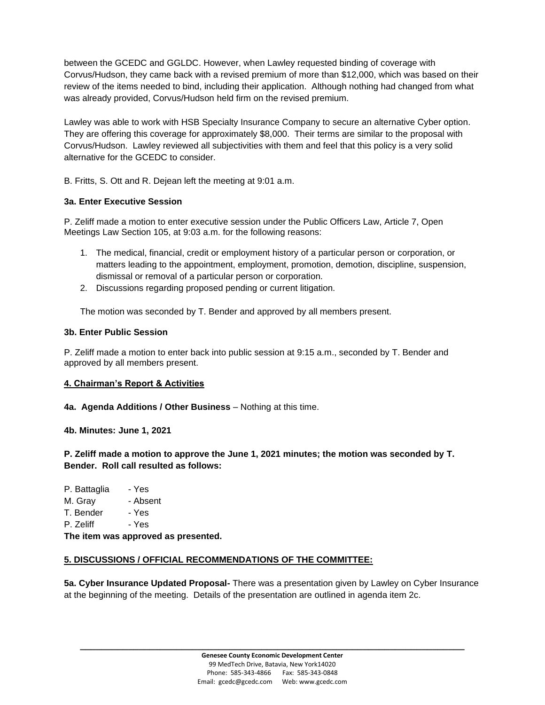between the GCEDC and GGLDC. However, when Lawley requested binding of coverage with Corvus/Hudson, they came back with a revised premium of more than \$12,000, which was based on their review of the items needed to bind, including their application. Although nothing had changed from what was already provided, Corvus/Hudson held firm on the revised premium.

Lawley was able to work with HSB Specialty Insurance Company to secure an alternative Cyber option. They are offering this coverage for approximately \$8,000. Their terms are similar to the proposal with Corvus/Hudson. Lawley reviewed all subjectivities with them and feel that this policy is a very solid alternative for the GCEDC to consider.

B. Fritts, S. Ott and R. Dejean left the meeting at 9:01 a.m.

## **3a. Enter Executive Session**

P. Zeliff made a motion to enter executive session under the Public Officers Law, Article 7, Open Meetings Law Section 105, at 9:03 a.m. for the following reasons:

- 1. The medical, financial, credit or employment history of a particular person or corporation, or matters leading to the appointment, employment, promotion, demotion, discipline, suspension, dismissal or removal of a particular person or corporation.
- 2. Discussions regarding proposed pending or current litigation.

The motion was seconded by T. Bender and approved by all members present.

## **3b. Enter Public Session**

P. Zeliff made a motion to enter back into public session at 9:15 a.m., seconded by T. Bender and approved by all members present.

## **4. Chairman's Report & Activities**

**4a. Agenda Additions / Other Business** – Nothing at this time.

**4b. Minutes: June 1, 2021** 

**P. Zeliff made a motion to approve the June 1, 2021 minutes; the motion was seconded by T. Bender. Roll call resulted as follows:**

P. Battaglia - Yes M. Gray - Absent T. Bender - Yes P. Zeliff - Yes **The item was approved as presented.**

## **5. DISCUSSIONS / OFFICIAL RECOMMENDATIONS OF THE COMMITTEE:**

**5a. Cyber Insurance Updated Proposal-** There was a presentation given by Lawley on Cyber Insurance at the beginning of the meeting. Details of the presentation are outlined in agenda item 2c.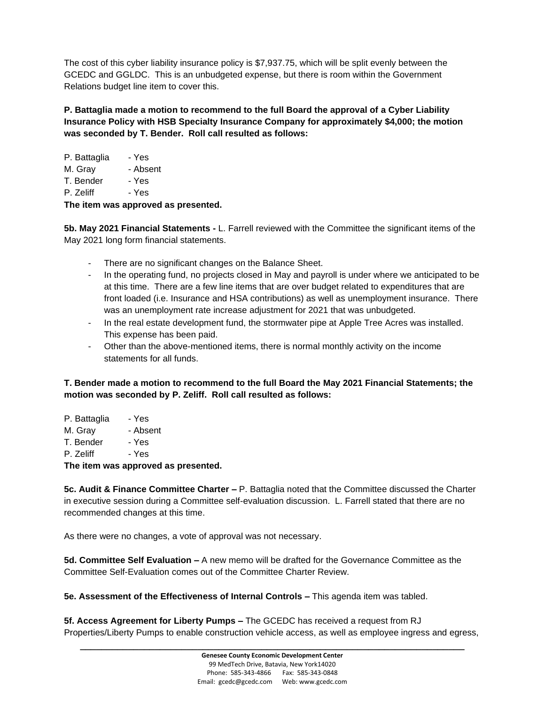The cost of this cyber liability insurance policy is \$7,937.75, which will be split evenly between the GCEDC and GGLDC. This is an unbudgeted expense, but there is room within the Government Relations budget line item to cover this.

**P. Battaglia made a motion to recommend to the full Board the approval of a Cyber Liability Insurance Policy with HSB Specialty Insurance Company for approximately \$4,000; the motion was seconded by T. Bender. Roll call resulted as follows:**

| P. Battaglia | - Yes    |  |
|--------------|----------|--|
| M. Gray      | - Absent |  |
| T. Bender    | - Yes    |  |
| P. Zeliff    | - Yes    |  |
|              |          |  |

**The item was approved as presented.**

**5b. May 2021 Financial Statements -** L. Farrell reviewed with the Committee the significant items of the May 2021 long form financial statements.

- There are no significant changes on the Balance Sheet.
- In the operating fund, no projects closed in May and payroll is under where we anticipated to be at this time. There are a few line items that are over budget related to expenditures that are front loaded (i.e. Insurance and HSA contributions) as well as unemployment insurance. There was an unemployment rate increase adjustment for 2021 that was unbudgeted.
- In the real estate development fund, the stormwater pipe at Apple Tree Acres was installed. This expense has been paid.
- Other than the above-mentioned items, there is normal monthly activity on the income statements for all funds.

**T. Bender made a motion to recommend to the full Board the May 2021 Financial Statements; the motion was seconded by P. Zeliff. Roll call resulted as follows:**

P. Battaglia - Yes M. Gray - Absent T. Bender - Yes P. Zeliff - Yes **The item was approved as presented.**

**5c. Audit & Finance Committee Charter –** P. Battaglia noted that the Committee discussed the Charter in executive session during a Committee self-evaluation discussion. L. Farrell stated that there are no recommended changes at this time.

As there were no changes, a vote of approval was not necessary.

**5d. Committee Self Evaluation –** A new memo will be drafted for the Governance Committee as the Committee Self-Evaluation comes out of the Committee Charter Review.

**5e. Assessment of the Effectiveness of Internal Controls –** This agenda item was tabled.

**5f. Access Agreement for Liberty Pumps –** The GCEDC has received a request from RJ Properties/Liberty Pumps to enable construction vehicle access, as well as employee ingress and egress,